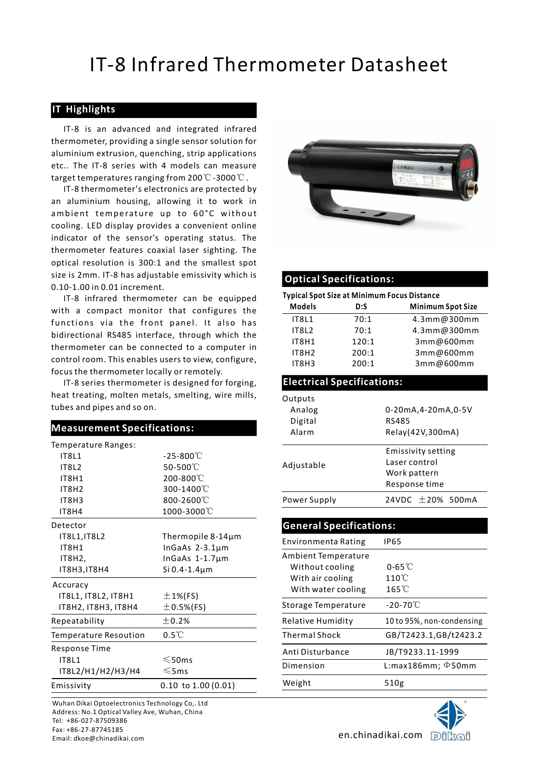## IT-8 Infrared Thermometer Datasheet

### IT Highlights

IT-8 Infrared Thermometer Dat<br> **Highlights**<br>
IT-8 is an advanced and integrated infrared<br>
rmometer, providing a single sensor solution for<br>
minium extrusion, quenching, strip applications<br>
... The IT-8 series with 4 model thermometer, providing a single sensor solution for aluminium extrusion, quenching, strip applications<br>
etc.. The IT-8 series with 4 models can measure<br>
target temperatures ranging from 200℃-3000℃. etc.. The IT-8 series with 4 models can measure

IT-8 thermometer's electronics are protected by an aluminium housing, allowing it to work in **TT-8 Infrared Thermometer Dat**<br> **Cooling in the sum of the sum of the sum of the sum of the sum of the sum of the sum of aluminium extrusion, quenching, strip applications<br>
etc.. The IT-8 series with 4 models can measure** indicator of the sensor's operating status. The thermometer features coaxial laser sighting. The optical resolution is 300:1 and the smallest spot size is 2mm. IT-8 has adjustable emissivity which is **Optical Specifications:** 0.10-1.00 in 0.01 increment.

### Measurement Specifications: Temperature Ranges:  $-25-800^{\circ}$ <sup>C</sup> <code>IT8L2</code>  $50\text{-}500^\circ\text{C}$   $\qquad \qquad$  Adjustable IT8H2 300-1400 ℃ IT8H3 800-2600℃ Power Supply IT8H1 200-800℃ IT8H4 1000-3000℃ Detector IT8L1,IT8L2 Thermopile 8-14µm InGaAs  $2-3.1 \mu m$ InGaAs 1-1.7µm IT8H1 IT8H2,  $ITSH3, ITBH4$  Si 0.4-1.4 $\mu$ m<br>Accuracy IT8L1, IT8L2, IT8H1 IT8H2, IT8H3, IT8H4  $\pm$  0.5%(FS)  $\xi$ tc IT8H1  $\pm$  1%(FS) Repeatability  $\pm 0.2%$

| Temperature Resoution      | $0.5^{\circ}$ C                | <b>Thermal Sh</b>   |  |
|----------------------------|--------------------------------|---------------------|--|
| Response Time              | Anti Distur                    |                     |  |
| IT8L1<br>IT8L2/H1/H2/H3/H4 | $\leqslant$ 50ms<br>$\leq$ 5ms | Dimension<br>Weight |  |
| Emissivity                 | $0.10$ to $1.00$ (0.01)        |                     |  |
|                            |                                |                     |  |

Wuhan Dikai Optoelectronics Technology Co,. Ltd Address: No.1 Optical Valley Ave, Wuhan, China Tel: +86-027-87509386 Fax: +86-27-87745185 Email: dkoe@chinadikai.com en.chinadikai.com



|                                                                   | thermometer reatures coaxial laser signting. The                                       |                                                    |                                            |
|-------------------------------------------------------------------|----------------------------------------------------------------------------------------|----------------------------------------------------|--------------------------------------------|
|                                                                   | optical resolution is 300:1 and the smallest spot                                      |                                                    |                                            |
|                                                                   | size is 2mm. IT-8 has adjustable emissivity which is                                   | <b>Optical Specifications:</b>                     |                                            |
| 0.10-1.00 in 0.01 increment.                                      |                                                                                        |                                                    |                                            |
|                                                                   | IT-8 infrared thermometer can be equipped                                              | <b>Typical Spot Size at Minimum Focus Distance</b> |                                            |
|                                                                   | with a compact monitor that configures the                                             | <b>Models</b><br>D:S                               | <b>Minimum Spot Size</b>                   |
|                                                                   | functions via the front panel. It also has                                             | IT8L1                                              | 4.3mm@300mm<br>70:1                        |
|                                                                   | bidirectional RS485 interface, through which the                                       | IT8L2                                              | 70:1<br>4.3mm@300mm                        |
|                                                                   | thermometer can be connected to a computer in                                          | IT8H1                                              | 120:1<br>3mm@600mm                         |
|                                                                   | control room. This enables users to view, configure,                                   | IT8H2<br>IT8H3                                     | 200:1<br>3mm@600mm<br>200:1<br>3mm@600mm   |
| focus the thermometer locally or remotely.                        |                                                                                        |                                                    |                                            |
|                                                                   | IT-8 series thermometer is designed for forging,                                       | <b>Electrical Specifications:</b>                  |                                            |
|                                                                   | heat treating, molten metals, smelting, wire mills,                                    | Outputs                                            |                                            |
| tubes and pipes and so on.                                        |                                                                                        | Analog                                             | 0-20mA,4-20mA,0-5V                         |
|                                                                   |                                                                                        | Digital                                            | <b>RS485</b>                               |
| <b>Measurement Specifications:</b>                                |                                                                                        | Alarm                                              | Relay(42V,300mA)                           |
| Temperature Ranges:                                               |                                                                                        |                                                    |                                            |
| <b>IT8L1</b>                                                      | $-25-800^{\circ}$ C                                                                    |                                                    | <b>Emissivity setting</b><br>Laser control |
| IT8L2                                                             | 50-500°C                                                                               | Adjustable                                         | Work pattern                               |
| IT8H1                                                             | 200-800°C                                                                              |                                                    | Response time                              |
| IT8H2                                                             | 300-1400°C                                                                             |                                                    |                                            |
| IT8H3                                                             | 800-2600°C                                                                             | Power Supply                                       | 24VDC ±20% 500mA                           |
| IT8H4                                                             | 1000-3000°C                                                                            |                                                    |                                            |
| Detector                                                          |                                                                                        | <b>General Specifications:</b>                     |                                            |
| IT8L1, IT8L2<br>IT8H1                                             | Thermopile 8-14µm<br>In $GaAs$ 2-3.1 $\mu$ m<br>InGaAs 1-1.7µm<br>$Si$ 0.4-1.4 $\mu$ m | <b>Environmenta Rating</b>                         | <b>IP65</b>                                |
| IT8H2,                                                            |                                                                                        | Ambient Temperature                                |                                            |
| IT8H3, IT8H4                                                      |                                                                                        | Without cooling                                    | $0-65^{\circ}$                             |
|                                                                   |                                                                                        | With air cooling                                   | 110°C                                      |
| Accuracy                                                          |                                                                                        | With water cooling                                 | 165°C                                      |
| IT8L1, IT8L2, IT8H1                                               | $±1%$ (FS)                                                                             | <b>Storage Temperature</b>                         | $-20-70^{\circ}$ C                         |
| IT8H2, IT8H3, IT8H4                                               | $\pm$ 0.5%(FS)                                                                         |                                                    |                                            |
| Repeatability                                                     | $\pm$ 0.2%                                                                             | Relative Humidity                                  | 10 to 95%, non-condensing                  |
| Temperature Resoution                                             | $0.5^{\circ}$ C                                                                        | <b>Thermal Shock</b>                               | GB/T2423.1,GB/t2423.2                      |
| Response Time                                                     |                                                                                        | Anti Disturbance                                   | JB/T9233.11-1999                           |
| IT8L1<br>$\leqslant$ 50ms<br>IT8L2/H1/H2/H3/H4<br>$\leqslant$ 5ms | Dimension                                                                              | L:max186mm; $\Phi$ 50mm                            |                                            |
| Emissivity                                                        | $0.10$ to $1.00(0.01)$                                                                 | Weight                                             | 510g                                       |
| Wuhan Bilisi Qatashastan tashan baru Calif Hal                    |                                                                                        |                                                    |                                            |
|                                                                   |                                                                                        |                                                    |                                            |